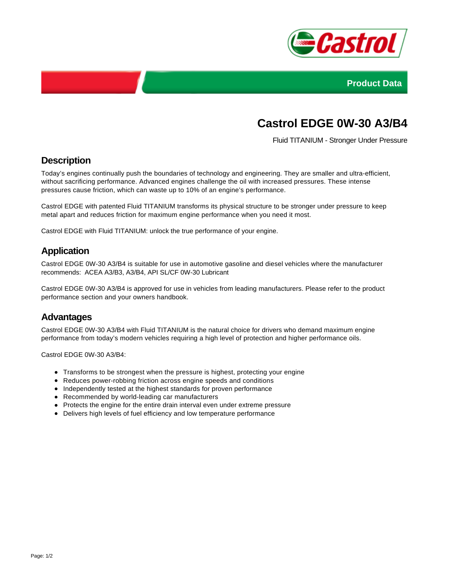



# **Castrol EDGE 0W-30 A3/B4**

Fluid TITANIUM - Stronger Under Pressure

## **Description**

Today's engines continually push the boundaries of technology and engineering. They are smaller and ultra-efficient, without sacrificing performance. Advanced engines challenge the oil with increased pressures. These intense pressures cause friction, which can waste up to 10% of an engine's performance.

Castrol EDGE with patented Fluid TITANIUM transforms its physical structure to be stronger under pressure to keep metal apart and reduces friction for maximum engine performance when you need it most.

Castrol EDGE with Fluid TITANIUM: unlock the true performance of your engine.

## **Application**

Castrol EDGE 0W-30 A3/B4 is suitable for use in automotive gasoline and diesel vehicles where the manufacturer recommends: ACEA A3/B3, A3/B4, API SL/CF 0W-30 Lubricant

Castrol EDGE 0W-30 A3/B4 is approved for use in vehicles from leading manufacturers. Please refer to the product performance section and your owners handbook.

#### **Advantages**

Castrol EDGE 0W-30 A3/B4 with Fluid TITANIUM is the natural choice for drivers who demand maximum engine performance from today's modern vehicles requiring a high level of protection and higher performance oils.

Castrol EDGE 0W-30 A3/B4:

- Transforms to be strongest when the pressure is highest, protecting your engine
- Reduces power-robbing friction across engine speeds and conditions
- Independently tested at the highest standards for proven performance
- Recommended by world-leading car manufacturers
- Protects the engine for the entire drain interval even under extreme pressure
- Delivers high levels of fuel efficiency and low temperature performance